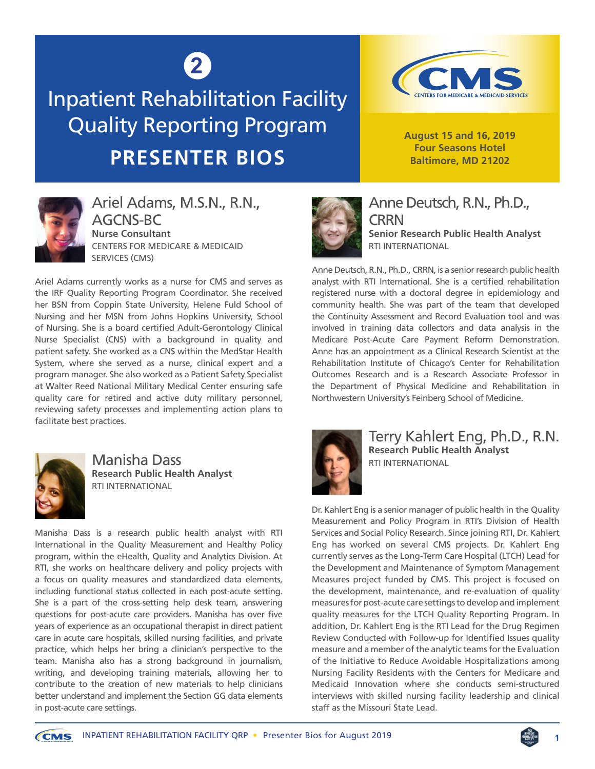## **2**

Inpatient Rehabilitation Facility Quality Reporting Program **PRESENTER BIOS**



**August 15 and 16, 2019 Four Seasons Hotel Baltimore, MD 21202**



Ariel Adams, M.S.N., R.N., AGCNS-BC **Nurse Consultant** CENTERS FOR MEDICARE & MEDICAID SERVICES (CMS)

Ariel Adams currently works as a nurse for CMS and serves as the IRF Quality Reporting Program Coordinator. She received her BSN from Coppin State University, Helene Fuld School of Nursing and her MSN from Johns Hopkins University, School of Nursing. She is a board certified Adult-Gerontology Clinical Nurse Specialist (CNS) with a background in quality and patient safety. She worked as a CNS within the MedStar Health System, where she served as a nurse, clinical expert and a program manager. She also worked as a Patient Safety Specialist at Walter Reed National Military Medical Center ensuring safe quality care for retired and active duty military personnel, reviewing safety processes and implementing action plans to facilitate best practices.



Manisha Dass **Research Public Health Analyst** RTI INTERNATIONAL

Manisha Dass is a research public health analyst with RTI International in the Quality Measurement and Healthy Policy program, within the eHealth, Quality and Analytics Division. At RTI, she works on healthcare delivery and policy projects with a focus on quality measures and standardized data elements, including functional status collected in each post-acute setting. She is a part of the cross-setting help desk team, answering questions for post-acute care providers. Manisha has over five years of experience as an occupational therapist in direct patient care in acute care hospitals, skilled nursing facilities, and private practice, which helps her bring a clinician's perspective to the team. Manisha also has a strong background in journalism, writing, and developing training materials, allowing her to contribute to the creation of new materials to help clinicians better understand and implement the Section GG data elements in post-acute care settings.



Anne Deutsch, R.N., Ph.D., **CRRN Senior Research Public Health Analyst**  RTI INTERNATIONAL

Anne Deutsch, R.N., Ph.D., CRRN, is a senior research public health analyst with RTI International. She is a certified rehabilitation registered nurse with a doctoral degree in epidemiology and community health. She was part of the team that developed the Continuity Assessment and Record Evaluation tool and was involved in training data collectors and data analysis in the Medicare Post-Acute Care Payment Reform Demonstration. Anne has an appointment as a Clinical Research Scientist at the Rehabilitation Institute of Chicago's Center for Rehabilitation Outcomes Research and is a Research Associate Professor in the Department of Physical Medicine and Rehabilitation in Northwestern University's Feinberg School of Medicine.



Terry Kahlert Eng, Ph.D., R.N. **Research Public Health Analyst** RTI INTERNATIONAL

Dr. Kahlert Eng is a senior manager of public health in the Quality Measurement and Policy Program in RTI's Division of Health Services and Social Policy Research. Since joining RTI, Dr. Kahlert Eng has worked on several CMS projects. Dr. Kahlert Eng currently serves as the Long-Term Care Hospital (LTCH) Lead for the Development and Maintenance of Symptom Management Measures project funded by CMS. This project is focused on the development, maintenance, and re-evaluation of quality measures for post-acute care settings to develop and implement quality measures for the LTCH Quality Reporting Program. In addition, Dr. Kahlert Eng is the RTI Lead for the Drug Regimen Review Conducted with Follow-up for Identified Issues quality measure and a member of the analytic teams for the Evaluation of the Initiative to Reduce Avoidable Hospitalizations among Nursing Facility Residents with the Centers for Medicare and Medicaid Innovation where she conducts semi-structured interviews with skilled nursing facility leadership and clinical staff as the Missouri State Lead.